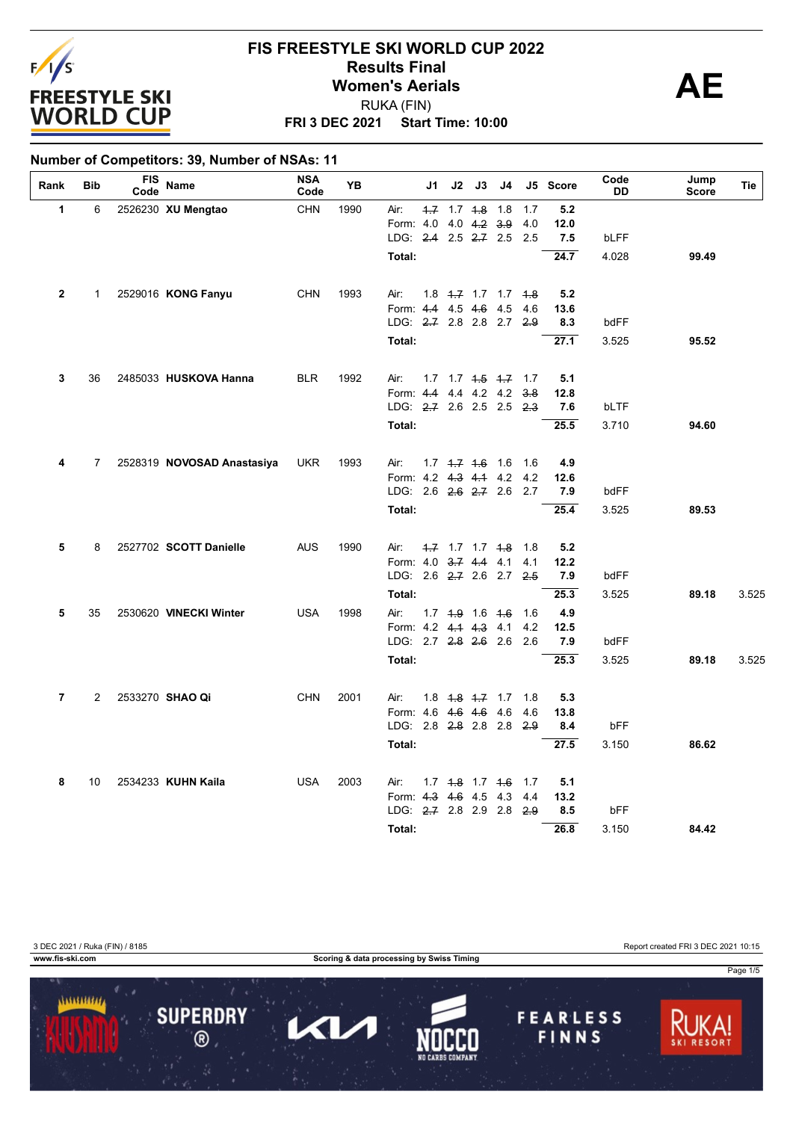

#### **FRI 3 DEC 2021 Start Time: 10:00 FIS FREESTYLE SKI WORLD CUP 2022 Results Final**<br>
Women's Aerials<br>
PUKA (FIN) RUKA (FIN)

#### **Number of Competitors: 39, Number of NSAs: 11**

| Rank           | Bib            | <b>FIS</b><br>Code | Name                       | <b>NSA</b><br>Code | YΒ   | J1                                            | J2                            | J3                | J4 |            | J5 Score    | Code<br>DD | Jump<br><b>Score</b> | Tie   |
|----------------|----------------|--------------------|----------------------------|--------------------|------|-----------------------------------------------|-------------------------------|-------------------|----|------------|-------------|------------|----------------------|-------|
| 1              | 6              |                    | 2526230 XU Mengtao         | <b>CHN</b>         | 1990 | Air:                                          | $4.7$ 1.7 $4.8$ 1.8           |                   |    | 1.7        | 5.2         |            |                      |       |
|                |                |                    |                            |                    |      | Form: 4.0                                     |                               | $4.0 \t4.2 \t3.9$ |    | 4.0        | 12.0        |            |                      |       |
|                |                |                    |                            |                    |      | LDG: 2.4 2.5 2.7 2.5 2.5                      |                               |                   |    |            | 7.5         | bLFF       |                      |       |
|                |                |                    |                            |                    |      | Total:                                        |                               |                   |    |            | 24.7        | 4.028      | 99.49                |       |
| $\mathbf{2}$   | 1              |                    | 2529016 KONG Fanyu         | <b>CHN</b>         | 1993 | Air:                                          | $1.8$ $1.7$ $1.7$ $1.8$       |                   |    |            | 5.2         |            |                      |       |
|                |                |                    |                            |                    |      | Form: 4.4 4.5 4.6 4.5                         |                               |                   |    | 4.6        | 13.6        |            |                      |       |
|                |                |                    |                            |                    |      | LDG: 2.7 2.8 2.8 2.7 2.9                      |                               |                   |    |            | 8.3         | bdFF       |                      |       |
|                |                |                    |                            |                    |      | Total:                                        |                               |                   |    |            | 27.1        | 3.525      | 95.52                |       |
| 3              | 36             |                    | 2485033 HUSKOVA Hanna      | <b>BLR</b>         | 1992 | Air:                                          | $1.7$ $1.7$ $1.5$ $1.7$ $1.7$ |                   |    |            | 5.1         |            |                      |       |
|                |                |                    |                            |                    |      | Form: 4.4                                     |                               | 4.4 4.2 4.2       |    | 3.8        | 12.8        |            |                      |       |
|                |                |                    |                            |                    |      | LDG: 2.7 2.6 2.5 2.5 2.3                      |                               |                   |    |            | 7.6         | bLTF       |                      |       |
|                |                |                    |                            |                    |      | Total:                                        |                               |                   |    |            | 25.5        | 3.710      | 94.60                |       |
| 4              | $7^{\circ}$    |                    |                            |                    |      | Air:                                          |                               |                   |    | 1.6        |             |            |                      |       |
|                |                |                    | 2528319 NOVOSAD Anastasiya | <b>UKR</b>         | 1993 | Form: 4.2 4.3 4.1 4.2                         | $1.7$ $1.7$ $1.6$ $1.6$       |                   |    | 4.2        | 4.9<br>12.6 |            |                      |       |
|                |                |                    |                            |                    |      | LDG: 2.6 2.6 2.7 2.6 2.7                      |                               |                   |    |            | 7.9         | bdFF       |                      |       |
|                |                |                    |                            |                    |      | Total:                                        |                               |                   |    |            | 25.4        | 3.525      | 89.53                |       |
|                |                |                    |                            |                    |      |                                               |                               |                   |    |            |             |            |                      |       |
| 5              | 8              |                    | 2527702 SCOTT Danielle     | <b>AUS</b>         | 1990 | Air:<br>Form: 4.0 3.7 4.4 4.1                 | $1.7$ 1.7 1.7 $1.8$ 1.8       |                   |    | 4.1        | 5.2<br>12.2 |            |                      |       |
|                |                |                    |                            |                    |      | LDG: 2.6 2.7 2.6 2.7 2.5                      |                               |                   |    |            | 7.9         | bdFF       |                      |       |
|                |                |                    |                            |                    |      | Total:                                        |                               |                   |    |            | 25.3        | 3.525      | 89.18                | 3.525 |
| 5              | 35             |                    | 2530620 VINECKI Winter     | <b>USA</b>         | 1998 | Air:                                          | $1.7$ 4.9 1.6 4.6             |                   |    | 1.6        | 4.9         |            |                      |       |
|                |                |                    |                            |                    |      | Form: 4.2 4.4 4.3 4.1                         |                               |                   |    | 4.2        | 12.5        |            |                      |       |
|                |                |                    |                            |                    |      | LDG: 2.7 2.8 2.6 2.6 2.6                      |                               |                   |    |            | 7.9         | bdFF       |                      |       |
|                |                |                    |                            |                    |      | Total:                                        |                               |                   |    |            | 25.3        | 3.525      | 89.18                | 3.525 |
|                |                |                    |                            |                    |      |                                               |                               |                   |    |            |             |            |                      |       |
| $\overline{7}$ | $\overline{2}$ |                    | 2533270 SHAO Qi            | <b>CHN</b>         | 2001 | Air:<br>Form: 4.6 4.6 4.6 4.6                 | $1.8$ $1.8$ $1.7$ $1.7$       |                   |    | 1.8<br>4.6 | 5.3<br>13.8 |            |                      |       |
|                |                |                    |                            |                    |      | LDG: 2.8 2.8 2.8 2.8 2.9                      |                               |                   |    |            | 8.4         | bFF        |                      |       |
|                |                |                    |                            |                    |      | Total:                                        |                               |                   |    |            | 27.5        | 3.150      | 86.62                |       |
|                |                |                    |                            |                    |      |                                               |                               |                   |    |            |             |            |                      |       |
| 8              | 10             |                    | 2534233 KUHN Kaila         | <b>USA</b>         | 2003 | Air:                                          | $1.7$ $4.8$ $1.7$ $4.6$       |                   |    | 1.7        | 5.1         |            |                      |       |
|                |                |                    |                            |                    |      | Form: 4.3 4.6 4.5 4.3<br>LDG: 2.7 2.8 2.9 2.8 |                               |                   |    | 4.4        | 13.2        |            |                      |       |
|                |                |                    |                            |                    |      |                                               |                               |                   |    | 2.9        | 8.5         | bFF        |                      |       |
|                |                |                    |                            |                    |      | Total:                                        |                               |                   |    |            | 26.8        | 3.150      | 84.42                |       |

3 DEC 2021 / Ruka (FIN) / 8185 Report created FRI 3 DEC 2021 10:15

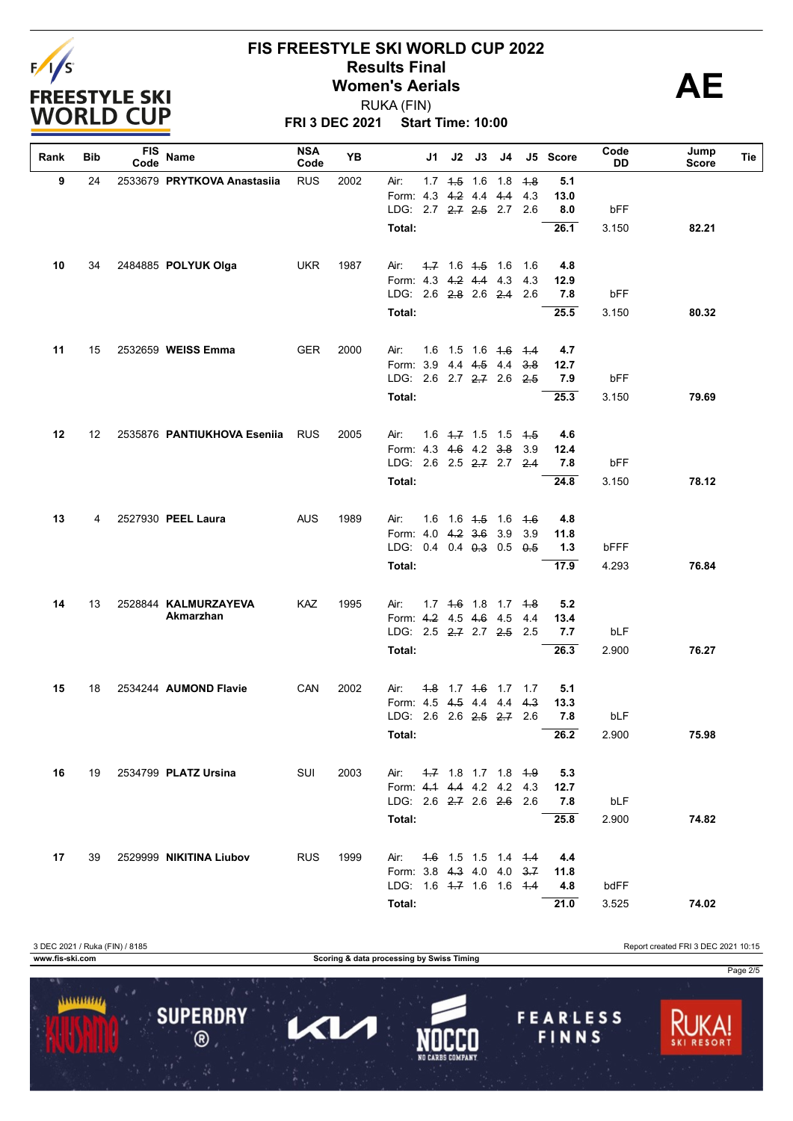

#### **FIS FREESTYLE SKI WORLD CUP 2022 Results Final**<br>
Women's Aerials<br>
PUKA (FIN) RUKA (FIN)

**FRI 3 DEC 2021 Start Time: 10:00**

| Rank | Bib | <b>FIS</b><br>Code | Name                        | <b>NSA</b><br>Code | YB   |                                           | J1 | J2 | J3                  | J4                                    |            | J5 Score    | Code<br>DD   | Jump<br><b>Score</b> | Tie |
|------|-----|--------------------|-----------------------------|--------------------|------|-------------------------------------------|----|----|---------------------|---------------------------------------|------------|-------------|--------------|----------------------|-----|
| 9    | 24  |                    | 2533679 PRYTKOVA Anastasiia | <b>RUS</b>         | 2002 | Air:                                      |    |    | $1.7$ $4.5$ $1.6$   | 1.8                                   | -4.8       | 5.1         |              |                      |     |
|      |     |                    |                             |                    |      | Form: 4.3                                 |    |    |                     | $4.2$ 4.4 $4.4$                       | 4.3        | 13.0        |              |                      |     |
|      |     |                    |                             |                    |      | LDG: 2.7 2.7 2.5 2.7 2.6                  |    |    |                     |                                       |            | 8.0         | bFF          |                      |     |
|      |     |                    |                             |                    |      | Total:                                    |    |    |                     |                                       |            | 26.1        | 3.150        | 82.21                |     |
| 10   | 34  |                    | 2484885 POLYUK Olga         | <b>UKR</b>         | 1987 | Air:                                      |    |    | $1.7$ 1.6 $1.5$ 1.6 |                                       | 1.6        | 4.8         |              |                      |     |
|      |     |                    |                             |                    |      | Form: 4.3 4.2 4.4 4.3                     |    |    |                     |                                       | 4.3        | 12.9        |              |                      |     |
|      |     |                    |                             |                    |      | LDG: 2.6 2.8 2.6 2.4 2.6                  |    |    |                     |                                       |            | 7.8         | bFF          |                      |     |
|      |     |                    |                             |                    |      | Total:                                    |    |    |                     |                                       |            | 25.5        | 3.150        | 80.32                |     |
|      |     |                    |                             |                    |      |                                           |    |    |                     |                                       |            |             |              |                      |     |
| 11   | 15  |                    | 2532659 WEISS Emma          | <b>GER</b>         | 2000 | Air:                                      |    |    |                     | 1.6 1.5 1.6 <del>1.6</del> 1.4        |            | 4.7         |              |                      |     |
|      |     |                    |                             |                    |      | Form: 3.9 4.4 4.5 4.4                     |    |    |                     |                                       | 3.8        | 12.7        |              |                      |     |
|      |     |                    |                             |                    |      | LDG: 2.6 2.7 2.7 2.6 2.5                  |    |    |                     |                                       |            | 7.9         | bFF          |                      |     |
|      |     |                    |                             |                    |      | Total:                                    |    |    |                     |                                       |            | 25.3        | 3.150        | 79.69                |     |
| 12   | 12  |                    | 2535876 PANTIUKHOVA Esenija | <b>RUS</b>         | 2005 | Air:                                      |    |    |                     | 1.6 4.7 1.5 1.5 4.5                   |            | 4.6         |              |                      |     |
|      |     |                    |                             |                    |      | Form: 4.3 4.6 4.2 3.8                     |    |    |                     |                                       | 3.9        | 12.4        |              |                      |     |
|      |     |                    |                             |                    |      | LDG: 2.6 2.5 2.7 2.7                      |    |    |                     |                                       | 2.4        | 7.8         | bFF          |                      |     |
|      |     |                    |                             |                    |      | Total:                                    |    |    |                     |                                       |            | 24.8        | 3.150        | 78.12                |     |
| 13   | 4   |                    | 2527930 PEEL Laura          | <b>AUS</b>         | 1989 | Air:                                      |    |    | $1.6$ 1.6 $4.5$ 1.6 |                                       | -4.6       | 4.8         |              |                      |     |
|      |     |                    |                             |                    |      | Form: 4.0 4.2 3.6                         |    |    |                     | 3.9                                   | 3.9        | 11.8        |              |                      |     |
|      |     |                    |                             |                    |      | LDG: 0.4 0.4 0.3 0.5 0.5                  |    |    |                     |                                       |            | 1.3         | bFFF         |                      |     |
|      |     |                    |                             |                    |      | Total:                                    |    |    |                     |                                       |            | 17.9        | 4.293        | 76.84                |     |
|      | 13  |                    | 2528844 KALMURZAYEVA        | KAZ                |      |                                           |    |    |                     |                                       |            |             |              |                      |     |
| 14   |     |                    | Akmarzhan                   |                    | 1995 | Air:<br>Form: 4.2 4.5 4.6 4.5             |    |    |                     | 1.7 4.6 1.8 1.7 4.8                   | 4.4        | 5.2<br>13.4 |              |                      |     |
|      |     |                    |                             |                    |      | LDG: 2.5 2.7 2.7 2.5 2.5                  |    |    |                     |                                       |            | 7.7         | bLF          |                      |     |
|      |     |                    |                             |                    |      | Total:                                    |    |    |                     |                                       |            | 26.3        | 2.900        | 76.27                |     |
|      |     |                    |                             |                    |      |                                           |    |    |                     |                                       |            |             |              |                      |     |
| 15   | 18  |                    | 2534244 AUMOND Flavie       | CAN                | 2002 | Air:                                      |    |    |                     | <del>1.8</del> 1.7 <del>1.6</del> 1.7 | 1.7        | 5.1         |              |                      |     |
|      |     |                    |                             |                    |      | Form: 4.5 4.5 4.4 4.4                     |    |    |                     |                                       | 4.3<br>2.6 | 13.3        |              |                      |     |
|      |     |                    |                             |                    |      | LDG: 2.6 2.6 <del>2.5</del> 2.7<br>Total: |    |    |                     |                                       |            | 7.8<br>26.2 | bLF<br>2.900 | 75.98                |     |
|      |     |                    |                             |                    |      |                                           |    |    |                     |                                       |            |             |              |                      |     |
| 16   | 19  |                    | 2534799 PLATZ Ursina        | SUI                | 2003 | Air:                                      |    |    |                     | $1.7$ 1.8 1.7 1.8 $1.9$               |            | 5.3         |              |                      |     |
|      |     |                    |                             |                    |      | Form: 4.1 4.4 4.2 4.2 4.3                 |    |    |                     |                                       |            | 12.7        |              |                      |     |
|      |     |                    |                             |                    |      | LDG: 2.6 2.7 2.6 2.6 2.6                  |    |    |                     |                                       |            | 7.8         | bLF          |                      |     |
|      |     |                    |                             |                    |      | Total:                                    |    |    |                     |                                       |            | 25.8        | 2.900        | 74.82                |     |
| 17   | 39  |                    | 2529999 NIKITINA Liubov     | <b>RUS</b>         | 1999 | Air:                                      |    |    |                     | 4.6 1.5 1.5 1.4 4.4                   |            | 4.4         |              |                      |     |
|      |     |                    |                             |                    |      | Form: 3.8 4.3 4.0 4.0                     |    |    |                     |                                       | 3.7        | 11.8        |              |                      |     |
|      |     |                    |                             |                    |      | LDG: $1.6 +7 1.6 1.6 +4$                  |    |    |                     |                                       |            | 4.8         | bdFF         |                      |     |
|      |     |                    |                             |                    |      | Total:                                    |    |    |                     |                                       |            | 21.0        | 3.525        | 74.02                |     |

3 DEC 2021 / Ruka (FIN) / 8185 Report created FRI 3 DEC 2021 10:15 **www.fis-ski.com Scoring & data processing by Swiss Timing** Page 2/5 1111111111 **SUPERDRY FEARLESS** Π  $\blacktriangleleft$  $\circledR$ FINNS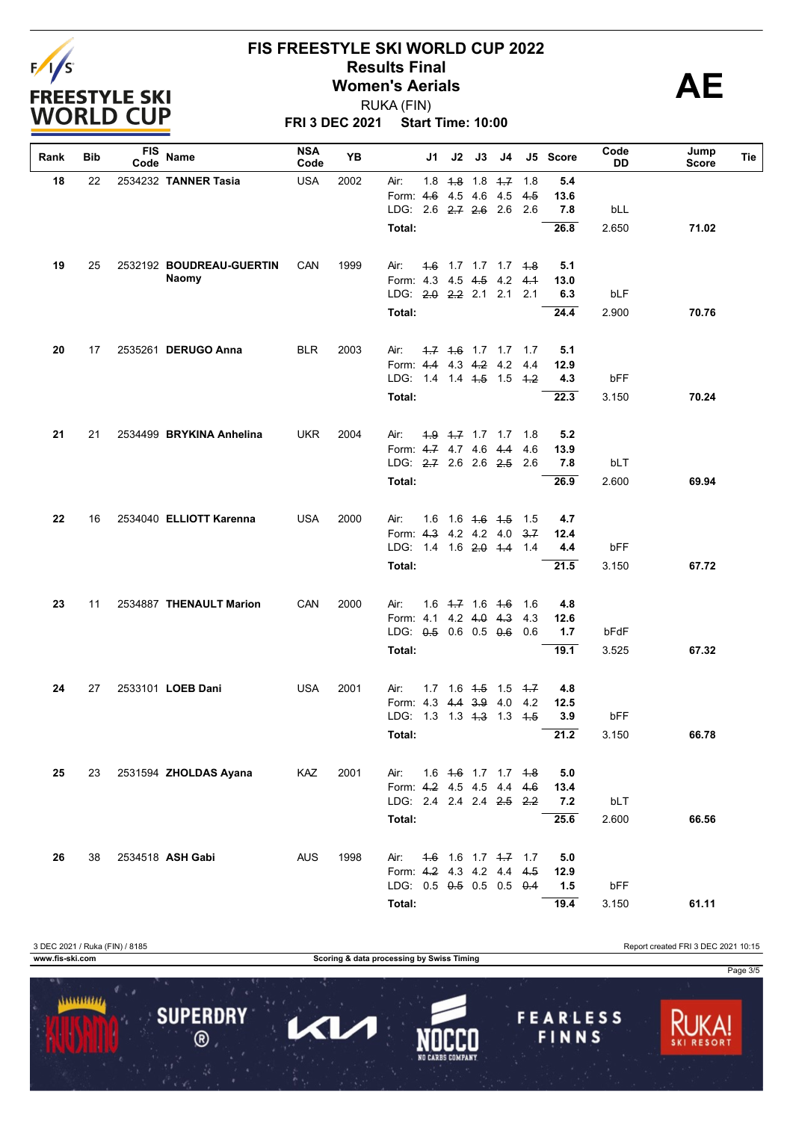

# **FIS FREESTYLE SKI WORLD CUP 2022 Results Final**<br>
Women's Aerials<br>
PUKA (FIN)

**FRI 3 DEC 2021 Start Time: 10:00** RUKA (FIN)

| Rank | <b>Bib</b> | <b>FIS</b><br>Code | Name                     | <b>NSA</b><br>Code | YB   |                                                       | J1 | J2 | J3                      | J4                                 |     | J5 Score    | Code<br>DD | Jump<br>Score | Tie |
|------|------------|--------------------|--------------------------|--------------------|------|-------------------------------------------------------|----|----|-------------------------|------------------------------------|-----|-------------|------------|---------------|-----|
| 18   | 22         |                    | 2534232 TANNER Tasia     | <b>USA</b>         | 2002 | Air:                                                  |    |    | $1.8$ $4.8$ $1.8$ $4.7$ |                                    | 1.8 | 5.4         |            |               |     |
|      |            |                    |                          |                    |      | Form: 4.6                                             |    |    | 4.5 4.6 4.5             |                                    | 4.5 | 13.6        |            |               |     |
|      |            |                    |                          |                    |      | LDG: 2.6 2.7 2.6 2.6                                  |    |    |                         |                                    | 2.6 | 7.8         | bLL        |               |     |
|      |            |                    |                          |                    |      | Total:                                                |    |    |                         |                                    |     | 26.8        | 2.650      | 71.02         |     |
| 19   | 25         |                    | 2532192 BOUDREAU-GUERTIN | <b>CAN</b>         | 1999 | Air:                                                  |    |    |                         | 4.6 1.7 1.7 1.7 4.8                |     | 5.1         |            |               |     |
|      |            |                    | <b>Naomy</b>             |                    |      | Form: 4.3                                             |    |    |                         | 4.5 4.5 4.2                        | 4.1 | 13.0        |            |               |     |
|      |            |                    |                          |                    |      | LDG: $2.0$ $2.2$ $2.1$ $2.1$                          |    |    |                         |                                    | 2.1 | 6.3         | bLF        |               |     |
|      |            |                    |                          |                    |      | Total:                                                |    |    |                         |                                    |     | 24.4        | 2.900      | 70.76         |     |
| 20   | 17         |                    | 2535261 DERUGO Anna      | <b>BLR</b>         | 2003 | Air:                                                  |    |    |                         | $-1.7$ $-1.6$ $-1.7$ $-1.7$ $-1.7$ |     | 5.1         |            |               |     |
|      |            |                    |                          |                    |      | Form: 4.4 4.3 4.2 4.2                                 |    |    |                         |                                    | 4.4 | 12.9        |            |               |     |
|      |            |                    |                          |                    |      | LDG: 1.4 1.4 4.5 1.5 4.2                              |    |    |                         |                                    |     | 4.3         | bFF        |               |     |
|      |            |                    |                          |                    |      | Total:                                                |    |    |                         |                                    |     | 22.3        | 3.150      | 70.24         |     |
|      |            |                    |                          |                    |      |                                                       |    |    |                         |                                    |     |             |            |               |     |
| 21   | 21         |                    | 2534499 BRYKINA Anhelina | <b>UKR</b>         | 2004 | Air:                                                  |    |    |                         | 4.9 4.7 1.7 1.7 1.8                |     | 5.2         |            |               |     |
|      |            |                    |                          |                    |      | Form: 4.7 4.7 4.6 4.4                                 |    |    |                         |                                    | 4.6 | 13.9        |            |               |     |
|      |            |                    |                          |                    |      | LDG: 2.7 2.6 2.6 2.5                                  |    |    |                         |                                    | 2.6 | 7.8         | bLT        |               |     |
|      |            |                    |                          |                    |      | Total:                                                |    |    |                         |                                    |     | 26.9        | 2.600      | 69.94         |     |
| 22   | 16         |                    | 2534040 ELLIOTT Karenna  | <b>USA</b>         | 2000 | Air:                                                  |    |    | $1.6$ $1.6$ $4.6$ $4.5$ |                                    | 1.5 | 4.7         |            |               |     |
|      |            |                    |                          |                    |      | Form: 4.3 4.2 4.2 4.0                                 |    |    |                         |                                    | 3.7 | 12.4        |            |               |     |
|      |            |                    |                          |                    |      | LDG: 1.4 1.6 2.0 1.4 1.4                              |    |    |                         |                                    |     | 4.4         | bFF        |               |     |
|      |            |                    |                          |                    |      | Total:                                                |    |    |                         |                                    |     | 21.5        | 3.150      | 67.72         |     |
| 23   | 11         |                    | 2534887 THENAULT Marion  | CAN                | 2000 | Air:                                                  |    |    | $1.6$ 4.7 1.6 4.6       |                                    | 1.6 | 4.8         |            |               |     |
|      |            |                    |                          |                    |      | Form: 4.1 4.2 4.0 4.3                                 |    |    |                         |                                    | 4.3 | 12.6        |            |               |     |
|      |            |                    |                          |                    |      | LDG: 0.5 0.6 0.5 0.6                                  |    |    |                         |                                    | 0.6 | 1.7         | bFdF       |               |     |
|      |            |                    |                          |                    |      | Total:                                                |    |    |                         |                                    |     | 19.1        | 3.525      | 67.32         |     |
| 24   | 27         |                    | 2533101 LOEB Dani        | <b>USA</b>         | 2001 | Air:                                                  |    |    | $1.7$ $1.6$ $1.5$ $1.5$ |                                    | 4.7 | 4.8         |            |               |     |
|      |            |                    |                          |                    |      | Form: 4.3                                             |    |    | $4.4$ $3.9$ $4.0$       |                                    | 4.2 | 12.5        |            |               |     |
|      |            |                    |                          |                    |      | LDG: 1.3                                              |    |    | $1.3 + 3 \quad 1.3$     |                                    | 4.5 | 3.9         | bFF        |               |     |
|      |            |                    |                          |                    |      | Total:                                                |    |    |                         |                                    |     | 21.2        | 3.150      | 66.78         |     |
| 25   | 23         |                    | 2531594 ZHOLDAS Ayana    | KAZ                | 2001 | Air:                                                  |    |    |                         | 1.6 4.6 1.7 1.7 4.8                |     | 5.0         |            |               |     |
|      |            |                    |                          |                    |      | Form: 4.2 4.5 4.5 4.4                                 |    |    |                         |                                    | 4.6 | 13.4        |            |               |     |
|      |            |                    |                          |                    |      | LDG: 2.4 2.4 2.4 <del>2.5</del> 2.2                   |    |    |                         |                                    |     | 7.2         | bLT        |               |     |
|      |            |                    |                          |                    |      | Total:                                                |    |    |                         |                                    |     | 25.6        | 2.600      | 66.56         |     |
|      |            |                    |                          |                    |      |                                                       |    |    |                         |                                    |     |             |            |               |     |
| 26   | 38         |                    | 2534518 ASH Gabi         | <b>AUS</b>         | 1998 | Air:                                                  |    |    |                         | 4.6 1.6 1.7 4.7 1.7                |     | 5.0         |            |               |     |
|      |            |                    |                          |                    |      | Form: 4.2 4.3 4.2 4.4<br>LDG: $0.5$ $0.5$ 0.5 0.5 0.4 |    |    |                         |                                    | 4.5 | 12.9<br>1.5 | bFF        |               |     |
|      |            |                    |                          |                    |      |                                                       |    |    |                         |                                    |     |             |            |               |     |
|      |            |                    |                          |                    |      | Total:                                                |    |    |                         |                                    |     | 19.4        | 3.150      | 61.11         |     |

3 DEC 2021 / Ruka (FIN) / 8185 Report created FRI 3 DEC 2021 10:15 **www.fis-ski.com Scoring & data processing by Swiss Timing** Page 3/5 1111111111 **SUPERDRY FEARLESS** 7  $\blacktriangleleft$  $\circledR$ FINNS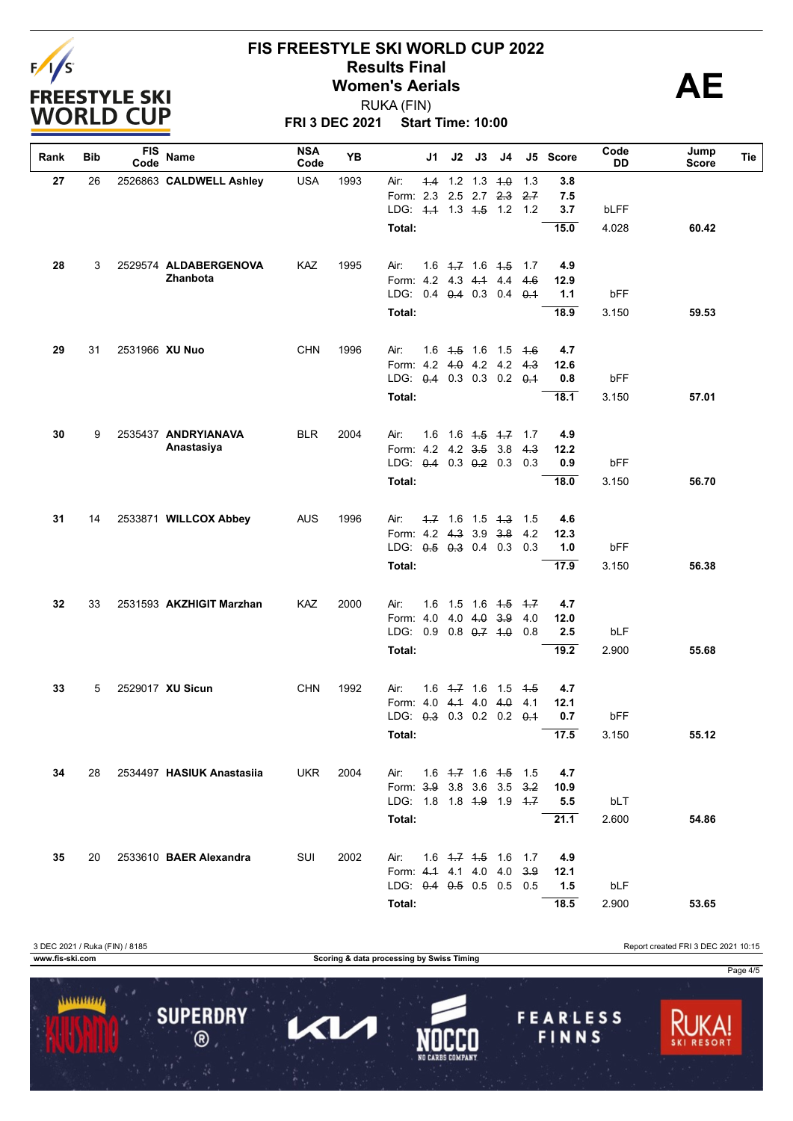

# **FIS FREESTYLE SKI WORLD CUP 2022 Results Final**<br>
Women's Aerials<br>
PUKA (FIN)

**FRI 3 DEC 2021 Start Time: 10:00** RUKA (FIN)

| Rank | Bib | <b>FIS</b><br>Code | Name                      | <b>NSA</b><br>Code | YB   | J1                                  | J2                | J3                      | J4                            |             | J5 Score | Code<br>DD | Jump<br><b>Score</b> | Tie |
|------|-----|--------------------|---------------------------|--------------------|------|-------------------------------------|-------------------|-------------------------|-------------------------------|-------------|----------|------------|----------------------|-----|
| 27   | 26  |                    | 2526863 CALDWELL Ashley   | <b>USA</b>         | 1993 | Air:                                |                   | $4.4$ 1.2 1.3 4.0       |                               | 1.3         | 3.8      |            |                      |     |
|      |     |                    |                           |                    |      | Form: 2.3                           |                   | $2.5$ 2.7               | $2-3$                         | 2.7         | 7.5      |            |                      |     |
|      |     |                    |                           |                    |      | LDG: 4.4 1.3 4.5 1.2                |                   |                         |                               | 1.2         | 3.7      | bLFF       |                      |     |
|      |     |                    |                           |                    |      | Total:                              |                   |                         |                               |             | 15.0     | 4.028      | 60.42                |     |
| 28   | 3   |                    | 2529574 ALDABERGENOVA     | KAZ                | 1995 | Air:                                |                   |                         | 1.6 4.7 1.6 4.5 1.7           |             | 4.9      |            |                      |     |
|      |     |                    | Zhanbota                  |                    |      | Form: 4.2 4.3 4.4 4.4               |                   |                         |                               | 4.6         | 12.9     |            |                      |     |
|      |     |                    |                           |                    |      | LDG: 0.4 0.4 0.3 0.4 0.4            |                   |                         |                               |             | 1.1      | bFF        |                      |     |
|      |     |                    |                           |                    |      | Total:                              |                   |                         |                               |             | 18.9     | 3.150      | 59.53                |     |
| 29   | 31  | 2531966 XU Nuo     |                           | <b>CHN</b>         | 1996 | Air:                                |                   | $1.6$ $1.5$ $1.6$ $1.5$ |                               | 4.6         | 4.7      |            |                      |     |
|      |     |                    |                           |                    |      | Form: 4.2 4.0 4.2 4.2 4.3           |                   |                         |                               |             | 12.6     |            |                      |     |
|      |     |                    |                           |                    |      | LDG: 0.4 0.3 0.3 0.2 0.1            |                   |                         |                               |             | 0.8      | bFF        |                      |     |
|      |     |                    |                           |                    |      | Total:                              |                   |                         |                               |             | 18.1     | 3.150      | 57.01                |     |
| 30   | 9   |                    | 2535437 ANDRYIANAVA       | <b>BLR</b>         | 2004 | Air:<br>1.6                         |                   |                         | $1.6$ $4.5$ $4.7$             | 1.7         | 4.9      |            |                      |     |
|      |     |                    | Anastasiya                |                    |      | Form: 4.2 4.2 3.5 3.8               |                   |                         |                               | 4.3         | 12.2     |            |                      |     |
|      |     |                    |                           |                    |      | LDG: 0.4 0.3 0.2 0.3                |                   |                         |                               | 0.3         | 0.9      | bFF        |                      |     |
|      |     |                    |                           |                    |      | Total:                              |                   |                         |                               |             | 18.0     | 3.150      | 56.70                |     |
| 31   | 14  |                    | 2533871 WILLCOX Abbey     | <b>AUS</b>         | 1996 | Air:                                |                   | $4.7$ 1.6 1.5 $4.3$     |                               | 1.5         | 4.6      |            |                      |     |
|      |     |                    |                           |                    |      | Form: 4.2 4.3 3.9 3.8               |                   |                         |                               | 4.2         | 12.3     |            |                      |     |
|      |     |                    |                           |                    |      | LDG: $0.5$ $0.3$ 0.4 0.3            |                   |                         |                               | 0.3         | 1.0      | bFF        |                      |     |
|      |     |                    |                           |                    |      | Total:                              |                   |                         |                               |             | 17.9     | 3.150      | 56.38                |     |
| 32   | 33  |                    | 2531593 AKZHIGIT Marzhan  | KAZ                | 2000 | 1.6<br>Air:                         |                   | $1.5$ 1.6 $4.5$         |                               | 4.7         | 4.7      |            |                      |     |
|      |     |                    |                           |                    |      | Form: 4.0                           |                   | $4.0$ 4.0 3.9           |                               | 4.0         | 12.0     |            |                      |     |
|      |     |                    |                           |                    |      | LDG: 0.9                            |                   | $0.8$ $0.7$ $1.0$       |                               | 0.8         | 2.5      | bLF        |                      |     |
|      |     |                    |                           |                    |      | Total:                              |                   |                         |                               |             | 19.2     | 2.900      | 55.68                |     |
| 33   | 5   |                    | 2529017 XU Sicun          | <b>CHN</b>         | 1992 | Air:                                | $1.6$ $1.7$ $1.6$ |                         | 1.5                           | 4.5         | 4.7      |            |                      |     |
|      |     |                    |                           |                    |      | Form: 4.0                           |                   | 4.14.0                  | 4.0                           | 4.1         | 12.1     |            |                      |     |
|      |     |                    |                           |                    |      | LDG: 0.3 0.3 0.2 0.2                |                   |                         |                               | $\theta$ .1 | 0.7      | bFF        |                      |     |
|      |     |                    |                           |                    |      | Total:                              |                   |                         |                               |             | 17.5     | 3.150      | 55.12                |     |
| 34   | 28  |                    | 2534497 HASIUK Anastasiia | <b>UKR</b>         | 2004 | Air:                                |                   |                         | $1.6$ $4.7$ $1.6$ $4.5$ $1.5$ |             | 4.7      |            |                      |     |
|      |     |                    |                           |                    |      | Form: 3.9 3.8 3.6 3.5               |                   |                         |                               | 3.2         | 10.9     |            |                      |     |
|      |     |                    |                           |                    |      | LDG: 1.8 1.8 <del>1.9</del> 1.9 4.7 |                   |                         |                               |             | 5.5      | bLT        |                      |     |
|      |     |                    |                           |                    |      | Total:                              |                   |                         |                               |             | 21.1     | 2.600      | 54.86                |     |
| 35   | 20  |                    | 2533610 BAER Alexandra    | SUI                | 2002 | Air:                                |                   |                         | $1.6$ $4.7$ $4.5$ $1.6$ $1.7$ |             | 4.9      |            |                      |     |
|      |     |                    |                           |                    |      | Form: 4.4 4.1 4.0 4.0               |                   |                         |                               | 3.9         | 12.1     |            |                      |     |
|      |     |                    |                           |                    |      | LDG: $0.4$ $0.5$ 0.5 0.5            |                   |                         |                               | 0.5         | 1.5      | bLF        |                      |     |
|      |     |                    |                           |                    |      | Total:                              |                   |                         |                               |             | 18.5     | 2.900      | 53.65                |     |

3 DEC 2021 / Ruka (FIN) / 8185 Report created FRI 3 DEC 2021 10:15 **www.fis-ski.com Scoring & data processing by Swiss Timing** Page 4/51111111111 **SUPERDRY FEARLESS** Π  $\blacktriangleleft$  $\circledR$ FINNS